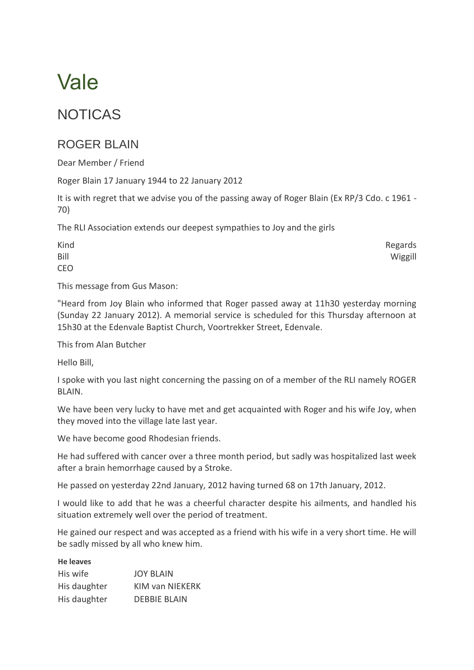# Vale

## NOTICAS

## ROGER BLAIN

Dear Member / Friend

Roger Blain 17 January 1944 to 22 January 2012

It is with regret that we advise you of the passing away of Roger Blain (Ex RP/3 Cdo. c 1961 - 70)

The RLI Association extends our deepest sympathies to Joy and the girls

| Kind | Regards |
|------|---------|
| Bill | Wiggill |
| CEO  |         |

This message from Gus Mason:

"Heard from Joy Blain who informed that Roger passed away at 11h30 yesterday morning (Sunday 22 January 2012). A memorial service is scheduled for this Thursday afternoon at 15h30 at the Edenvale Baptist Church, Voortrekker Street, Edenvale.

This from Alan Butcher

Hello Bill,

I spoke with you last night concerning the passing on of a member of the RLI namely ROGER BLAIN.

We have been very lucky to have met and get acquainted with Roger and his wife Joy, when they moved into the village late last year.

We have become good Rhodesian friends.

He had suffered with cancer over a three month period, but sadly was hospitalized last week after a brain hemorrhage caused by a Stroke.

He passed on yesterday 22nd January, 2012 having turned 68 on 17th January, 2012.

I would like to add that he was a cheerful character despite his ailments, and handled his situation extremely well over the period of treatment.

He gained our respect and was accepted as a friend with his wife in a very short time. He will be sadly missed by all who knew him.

#### **He leaves**

| His wife     | <b>JOY BLAIN</b>       |
|--------------|------------------------|
| His daughter | <b>KIM van NIEKERK</b> |
| His daughter | <b>DEBBIE BLAIN</b>    |